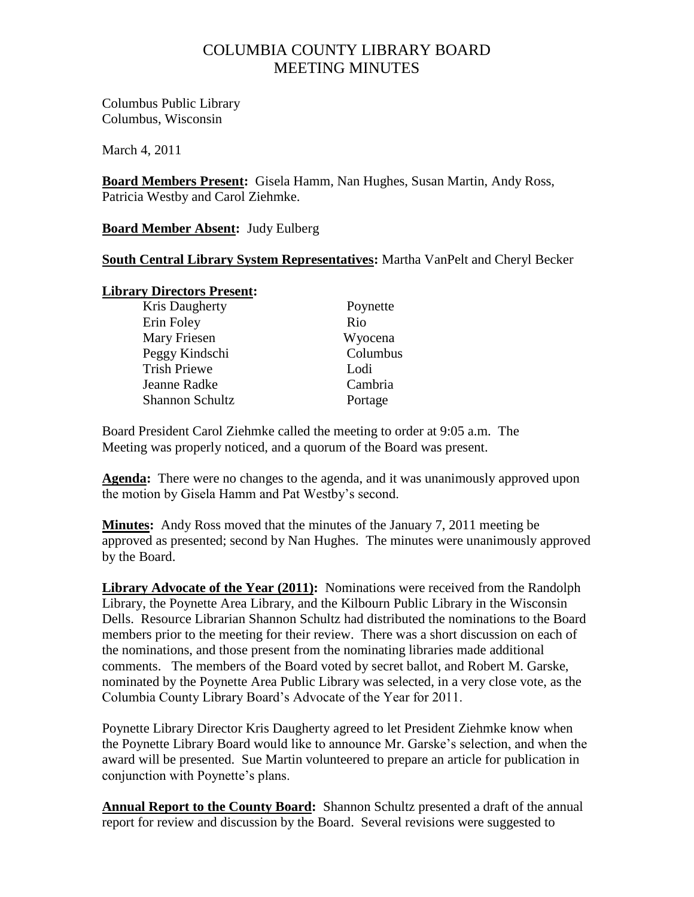# COLUMBIA COUNTY LIBRARY BOARD MEETING MINUTES

Columbus Public Library Columbus, Wisconsin

March 4, 2011

**Board Members Present:** Gisela Hamm, Nan Hughes, Susan Martin, Andy Ross, Patricia Westby and Carol Ziehmke.

**Board Member Absent:** Judy Eulberg

## **South Central Library System Representatives:** Martha VanPelt and Cheryl Becker

## **Library Directors Present:**

| Poynette |
|----------|
| Rio      |
| Wyocena  |
| Columbus |
| Lodi     |
| Cambria  |
| Portage  |
|          |

Board President Carol Ziehmke called the meeting to order at 9:05 a.m. The Meeting was properly noticed, and a quorum of the Board was present.

**Agenda:** There were no changes to the agenda, and it was unanimously approved upon the motion by Gisela Hamm and Pat Westby"s second.

**Minutes:** Andy Ross moved that the minutes of the January 7, 2011 meeting be approved as presented; second by Nan Hughes. The minutes were unanimously approved by the Board.

**Library Advocate of the Year (2011):** Nominations were received from the Randolph Library, the Poynette Area Library, and the Kilbourn Public Library in the Wisconsin Dells. Resource Librarian Shannon Schultz had distributed the nominations to the Board members prior to the meeting for their review. There was a short discussion on each of the nominations, and those present from the nominating libraries made additional comments. The members of the Board voted by secret ballot, and Robert M. Garske, nominated by the Poynette Area Public Library was selected, in a very close vote, as the Columbia County Library Board"s Advocate of the Year for 2011.

Poynette Library Director Kris Daugherty agreed to let President Ziehmke know when the Poynette Library Board would like to announce Mr. Garske"s selection, and when the award will be presented. Sue Martin volunteered to prepare an article for publication in conjunction with Poynette's plans.

**Annual Report to the County Board:** Shannon Schultz presented a draft of the annual report for review and discussion by the Board. Several revisions were suggested to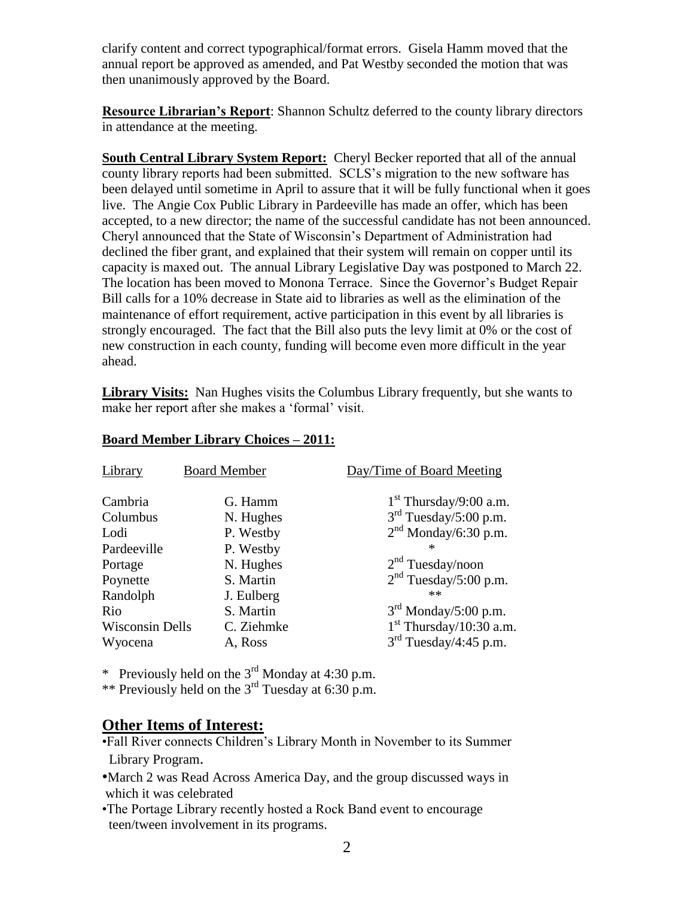clarify content and correct typographical/format errors. Gisela Hamm moved that the annual report be approved as amended, and Pat Westby seconded the motion that was then unanimously approved by the Board.

**Resource Librarian's Report**: Shannon Schultz deferred to the county library directors in attendance at the meeting.

**South Central Library System Report:** Cheryl Becker reported that all of the annual county library reports had been submitted. SCLS"s migration to the new software has been delayed until sometime in April to assure that it will be fully functional when it goes live. The Angie Cox Public Library in Pardeeville has made an offer, which has been accepted, to a new director; the name of the successful candidate has not been announced. Cheryl announced that the State of Wisconsin"s Department of Administration had declined the fiber grant, and explained that their system will remain on copper until its capacity is maxed out. The annual Library Legislative Day was postponed to March 22. The location has been moved to Monona Terrace. Since the Governor"s Budget Repair Bill calls for a 10% decrease in State aid to libraries as well as the elimination of the maintenance of effort requirement, active participation in this event by all libraries is strongly encouraged. The fact that the Bill also puts the levy limit at 0% or the cost of new construction in each county, funding will become even more difficult in the year ahead.

**Library Visits:** Nan Hughes visits the Columbus Library frequently, but she wants to make her report after she makes a 'formal' visit.

| Library                | <b>Board Member</b>     | Day/Time of Board Meeting                                         |
|------------------------|-------------------------|-------------------------------------------------------------------|
| Cambria<br>Columbus    | G. Hamm<br>N. Hughes    | $1st$ Thursday/9:00 a.m.<br>$3rd$ Tuesday/5:00 p.m.               |
| Lodi                   | P. Westby               | $2nd$ Monday/6:30 p.m.                                            |
| Pardeeville            | P. Westby               |                                                                   |
| Portage                | N. Hughes               | 2 <sup>nd</sup> Tuesday/noon<br>2 <sup>nd</sup> Tuesday/5:00 p.m. |
| Poynette<br>Randolph   | S. Martin<br>J. Eulberg | **                                                                |
| Rio                    | S. Martin               | $3rd$ Monday/5:00 p.m.                                            |
| <b>Wisconsin Dells</b> | C. Ziehmke              | $1st$ Thursday/10:30 a.m.                                         |
| Wyocena                | A, Ross                 | 3 <sup>rd</sup> Tuesday/4:45 p.m.                                 |

## **Board Member Library Choices – 2011:**

\* Previously held on the  $3^{rd}$  Monday at 4:30 p.m.

\*\* Previously held on the  $3<sup>rd</sup>$  Tuesday at 6:30 p.m.

## **Other Items of Interest:**

- •Fall River connects Children"s Library Month in November to its Summer Library Program.
- •March 2 was Read Across America Day, and the group discussed ways in which it was celebrated
- •The Portage Library recently hosted a Rock Band event to encourage teen/tween involvement in its programs.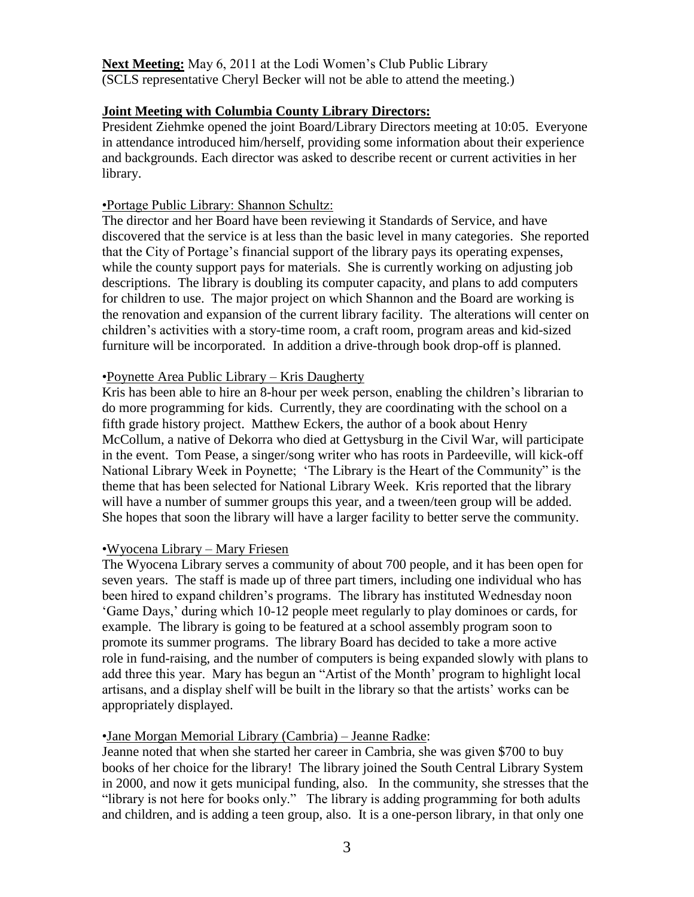Next Meeting: May 6, 2011 at the Lodi Women's Club Public Library (SCLS representative Cheryl Becker will not be able to attend the meeting.)

#### **Joint Meeting with Columbia County Library Directors:**

President Ziehmke opened the joint Board/Library Directors meeting at 10:05. Everyone in attendance introduced him/herself, providing some information about their experience and backgrounds. Each director was asked to describe recent or current activities in her library.

#### •Portage Public Library: Shannon Schultz:

The director and her Board have been reviewing it Standards of Service, and have discovered that the service is at less than the basic level in many categories. She reported that the City of Portage"s financial support of the library pays its operating expenses, while the county support pays for materials. She is currently working on adjusting job descriptions. The library is doubling its computer capacity, and plans to add computers for children to use. The major project on which Shannon and the Board are working is the renovation and expansion of the current library facility. The alterations will center on children"s activities with a story-time room, a craft room, program areas and kid-sized furniture will be incorporated. In addition a drive-through book drop-off is planned.

#### •Poynette Area Public Library – Kris Daugherty

Kris has been able to hire an 8-hour per week person, enabling the children's librarian to do more programming for kids. Currently, they are coordinating with the school on a fifth grade history project. Matthew Eckers, the author of a book about Henry McCollum, a native of Dekorra who died at Gettysburg in the Civil War, will participate in the event. Tom Pease, a singer/song writer who has roots in Pardeeville, will kick-off National Library Week in Poynette; "The Library is the Heart of the Community" is the theme that has been selected for National Library Week. Kris reported that the library will have a number of summer groups this year, and a tween/teen group will be added. She hopes that soon the library will have a larger facility to better serve the community.

#### •Wyocena Library – Mary Friesen

The Wyocena Library serves a community of about 700 people, and it has been open for seven years. The staff is made up of three part timers, including one individual who has been hired to expand children"s programs. The library has instituted Wednesday noon "Game Days," during which 10-12 people meet regularly to play dominoes or cards, for example. The library is going to be featured at a school assembly program soon to promote its summer programs. The library Board has decided to take a more active role in fund-raising, and the number of computers is being expanded slowly with plans to add three this year. Mary has begun an "Artist of the Month" program to highlight local artisans, and a display shelf will be built in the library so that the artists" works can be appropriately displayed.

## •Jane Morgan Memorial Library (Cambria) – Jeanne Radke:

Jeanne noted that when she started her career in Cambria, she was given \$700 to buy books of her choice for the library! The library joined the South Central Library System in 2000, and now it gets municipal funding, also. In the community, she stresses that the "library is not here for books only." The library is adding programming for both adults and children, and is adding a teen group, also. It is a one-person library, in that only one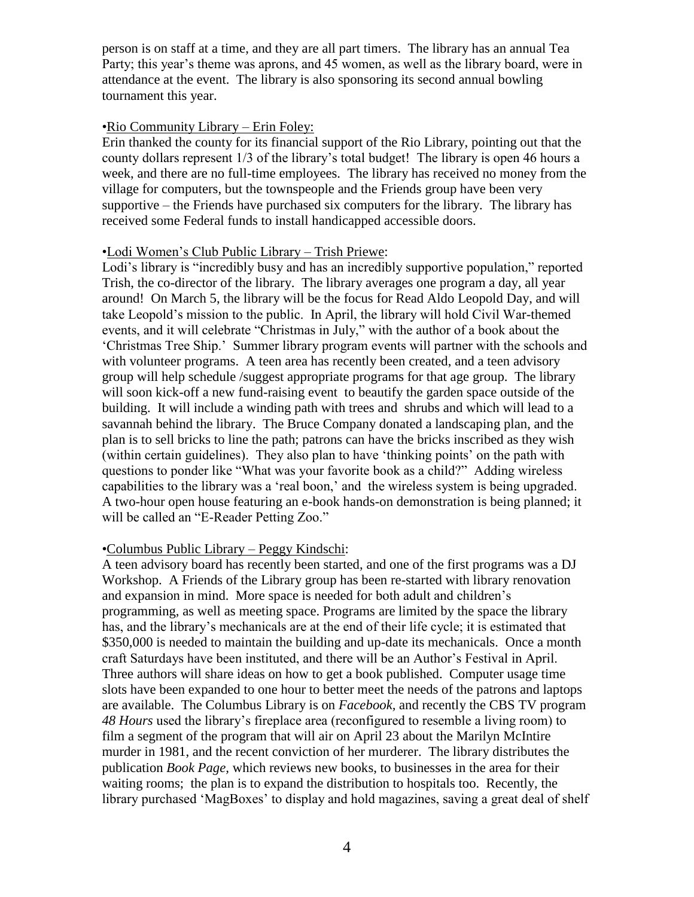person is on staff at a time, and they are all part timers. The library has an annual Tea Party; this year's theme was aprons, and 45 women, as well as the library board, were in attendance at the event. The library is also sponsoring its second annual bowling tournament this year.

## •Rio Community Library – Erin Foley:

Erin thanked the county for its financial support of the Rio Library, pointing out that the county dollars represent 1/3 of the library"s total budget! The library is open 46 hours a week, and there are no full-time employees. The library has received no money from the village for computers, but the townspeople and the Friends group have been very supportive – the Friends have purchased six computers for the library. The library has received some Federal funds to install handicapped accessible doors.

#### •Lodi Women"s Club Public Library – Trish Priewe:

Lodi's library is "incredibly busy and has an incredibly supportive population," reported Trish, the co-director of the library. The library averages one program a day, all year around! On March 5, the library will be the focus for Read Aldo Leopold Day, and will take Leopold"s mission to the public. In April, the library will hold Civil War-themed events, and it will celebrate "Christmas in July," with the author of a book about the "Christmas Tree Ship." Summer library program events will partner with the schools and with volunteer programs. A teen area has recently been created, and a teen advisory group will help schedule /suggest appropriate programs for that age group. The library will soon kick-off a new fund-raising event to beautify the garden space outside of the building. It will include a winding path with trees and shrubs and which will lead to a savannah behind the library. The Bruce Company donated a landscaping plan, and the plan is to sell bricks to line the path; patrons can have the bricks inscribed as they wish (within certain guidelines). They also plan to have "thinking points" on the path with questions to ponder like "What was your favorite book as a child?" Adding wireless capabilities to the library was a "real boon," and the wireless system is being upgraded. A two-hour open house featuring an e-book hands-on demonstration is being planned; it will be called an "E-Reader Petting Zoo."

## •Columbus Public Library – Peggy Kindschi:

A teen advisory board has recently been started, and one of the first programs was a DJ Workshop. A Friends of the Library group has been re-started with library renovation and expansion in mind. More space is needed for both adult and children"s programming, as well as meeting space. Programs are limited by the space the library has, and the library"s mechanicals are at the end of their life cycle; it is estimated that \$350,000 is needed to maintain the building and up-date its mechanicals. Once a month craft Saturdays have been instituted, and there will be an Author"s Festival in April. Three authors will share ideas on how to get a book published. Computer usage time slots have been expanded to one hour to better meet the needs of the patrons and laptops are available. The Columbus Library is on *Facebook,* and recently the CBS TV program *48 Hours* used the library"s fireplace area (reconfigured to resemble a living room) to film a segment of the program that will air on April 23 about the Marilyn McIntire murder in 1981, and the recent conviction of her murderer. The library distributes the publication *Book Page,* which reviews new books, to businesses in the area for their waiting rooms; the plan is to expand the distribution to hospitals too. Recently, the library purchased 'MagBoxes' to display and hold magazines, saving a great deal of shelf